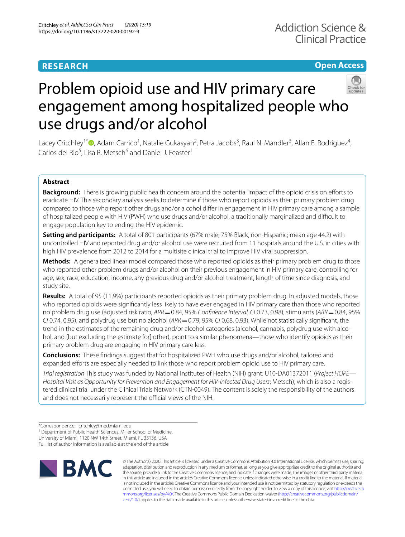# **RESEARCH**

# **Open Access**



# Problem opioid use and HIV primary care engagement among hospitalized people who use drugs and/or alcohol

Lacey Critchley<sup>1\*</sup><sup>®</sup>[,](http://orcid.org/0000-0002-8567-4965) Adam Carrico<sup>1</sup>, Natalie Gukasyan<sup>2</sup>, Petra Jacobs<sup>3</sup>, Raul N. Mandler<sup>3</sup>, Allan E. Rodriguez<sup>4</sup>, Carlos del Rio<sup>5</sup>, Lisa R. Metsch<sup>6</sup> and Daniel J. Feaster<sup>1</sup>

# **Abstract**

**Background:** There is growing public health concern around the potential impact of the opioid crisis on eforts to eradicate HIV. This secondary analysis seeks to determine if those who report opioids as their primary problem drug compared to those who report other drugs and/or alcohol difer in engagement in HIV primary care among a sample of hospitalized people with HIV (PWH) who use drugs and/or alcohol, a traditionally marginalized and difficult to engage population key to ending the HIV epidemic.

**Setting and participants:** A total of 801 participants (67% male; 75% Black, non-Hispanic; mean age 44.2) with uncontrolled HIV and reported drug and/or alcohol use were recruited from 11 hospitals around the U.S. in cities with high HIV prevalence from 2012 to 2014 for a multisite clinical trial to improve HIV viral suppression.

**Methods:** A generalized linear model compared those who reported opioids as their primary problem drug to those who reported other problem drugs and/or alcohol on their previous engagement in HIV primary care, controlling for age, sex, race, education, income, any previous drug and/or alcohol treatment, length of time since diagnosis, and study site.

**Results:** A total of 95 (11.9%) participants reported opioids as their primary problem drug. In adjusted models, those who reported opioids were signifcantly less likely to have ever engaged in HIV primary care than those who reported no problem drug use (adjusted risk ratio, *ARR*=0.84, 95% *Confdence Interval, CI* 0.73, 0.98), stimulants (*ARR*=0.84, 95% *CI* 0.74, 0.95), and polydrug use but no alcohol (*ARR*=0.79, 95% *CI* 0.68, 0.93). While not statistically signifcant, the trend in the estimates of the remaining drug and/or alcohol categories (alcohol, cannabis, polydrug use with alcohol, and [but excluding the estimate for] other), point to a similar phenomena—those who identify opioids as their primary problem drug are engaging in HIV primary care less.

**Conclusions:** These fndings suggest that for hospitalized PWH who use drugs and/or alcohol, tailored and expanded eforts are especially needed to link those who report problem opioid use to HIV primary care.

*Trial registration* This study was funded by National Institutes of Health (NIH) grant: U10-DA01372011 (*Project HOPE*— *Hospital Visit as Opportunity for Prevention and Engagement for HIV*-*Infected Drug Users*; Metsch); which is also a registered clinical trial under the Clinical Trials Network (CTN-0049). The content is solely the responsibility of the authors and does not necessarily represent the official views of the NIH.

<sup>1</sup> Department of Public Health Sciences, Miller School of Medicine,

Full list of author information is available at the end of the article



© The Author(s) 2020. This article is licensed under a Creative Commons Attribution 4.0 International License, which permits use, sharing, adaptation, distribution and reproduction in any medium or format, as long as you give appropriate credit to the original author(s) and the source, provide a link to the Creative Commons licence, and indicate if changes were made. The images or other third party material in this article are included in the article's Creative Commons licence, unless indicated otherwise in a credit line to the material. If material is not included in the article's Creative Commons licence and your intended use is not permitted by statutory regulation or exceeds the permitted use, you will need to obtain permission directly from the copyright holder. To view a copy of this licence, visit [http://creativeco](http://creativecommons.org/licenses/by/4.0/) [mmons.org/licenses/by/4.0/.](http://creativecommons.org/licenses/by/4.0/) The Creative Commons Public Domain Dedication waiver ([http://creativecommons.org/publicdomain/](http://creativecommons.org/publicdomain/zero/1.0/) [zero/1.0/\)](http://creativecommons.org/publicdomain/zero/1.0/) applies to the data made available in this article, unless otherwise stated in a credit line to the data.

<sup>\*</sup>Correspondence: lcritchley@med.miami.edu

University of Miami, 1120 NW 14th Street, Miami, FL 33136, USA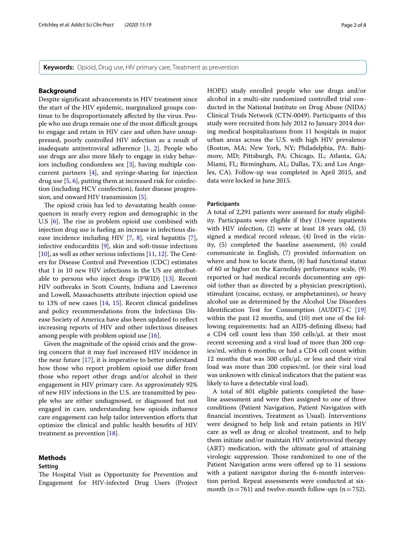**Keywords:** Opioid, Drug use, HIV primary care, Treatment as prevention

# **Background**

Despite signifcant advancements in HIV treatment since the start of the HIV epidemic, marginalized groups continue to be disproportionately afected by the virus. People who use drugs remain one of the most difficult groups to engage and retain in HIV care and often have unsuppressed, poorly controlled HIV infection as a result of inadequate antiretroviral adherence [[1,](#page-7-0) [2](#page-7-1)]. People who use drugs are also more likely to engage in risky behaviors including condomless sex [\[3](#page-7-2)], having multiple concurrent partners [\[4](#page-7-3)], and syringe-sharing for injection drug use [\[5](#page-7-4), [6\]](#page-7-5), putting them at increased risk for coinfection (including HCV coinfection), faster disease progression, and onward HIV transmission [\[5](#page-7-4)].

The opioid crisis has led to devastating health consequences in nearly every region and demographic in the U.S  $[6]$  $[6]$ . The rise in problem opioid use combined with injection drug use is fueling an increase in infectious disease incidence including HIV [[7](#page-7-6), [8\]](#page-7-7), viral hepatitis [\[7](#page-7-6)], infective endocarditis [\[9](#page-7-8)], skin and soft-tissue infections  $[10]$  $[10]$ , as well as other serious infections  $[11, 12]$  $[11, 12]$  $[11, 12]$  $[11, 12]$ . The Centers for Disease Control and Prevention (CDC) estimates that 1 in 10 new HIV infections in the US are attributable to persons who inject drugs (PWID) [[13\]](#page-7-12). Recent HIV outbreaks in Scott County, Indiana and Lawrence and Lowell, Massachusetts attribute injection opioid use to 13% of new cases [[14,](#page-7-13) [15](#page-7-14)]. Recent clinical guidelines and policy recommendations from the Infectious Disease Society of America have also been updated to refect increasing reports of HIV and other infectious diseases among people with problem opioid use [[16](#page-7-15)].

Given the magnitude of the opioid crisis and the growing concern that it may fuel increased HIV incidence in the near future [\[17\]](#page-7-16), it is imperative to better understand how those who report problem opioid use difer from those who report other drugs and/or alcohol in their engagement in HIV primary care. As approximately 92% of new HIV infections in the U.S. are transmitted by people who are either undiagnosed, or diagnosed but not engaged in care, understanding how opioids infuence care engagement can help tailor intervention eforts that optimize the clinical and public health benefts of HIV treatment as prevention [\[18\]](#page-7-17).

# **Methods**

# **Setting**

The Hospital Visit as Opportunity for Prevention and Engagement for HIV-infected Drug Users (Project HOPE) study enrolled people who use drugs and/or alcohol in a multi-site randomized controlled trial conducted in the National Institute on Drug Abuse (NIDA) Clinical Trials Network (CTN-0049). Participants of this study were recruited from July 2012 to January 2014 during medical hospitalizations from 11 hospitals in major urban areas across the U.S. with high HIV prevalence (Boston, MA; New York, NY; Philadelphia, PA: Baltimore, MD; Pittsburgh, PA; Chicago, IL; Atlanta, GA; Miami, FL; Birmingham, AL; Dallas, TX; and Los Angeles, CA). Follow-up was completed in April 2015, and data were locked in June 2015.

# **Participants**

A total of 2,291 patients were assessed for study eligibility. Participants were eligible if they (1)were inpatients with HIV infection, (2) were at least 18 years old, (3) signed a medical record release, (4) lived in the vicinity, (5) completed the baseline assessment, (6) could communicate in English, (7) provided information on where and how to locate them, (8) had functional status of 60 or higher on the Karnofsky performance scale, (9) reported or had medical records documenting any opioid (other than as directed by a physician prescription), stimulant (cocaine, ecstasy, or amphetamines), or heavy alcohol use as determined by the Alcohol Use Disorders Identifcation Test for Consumption (AUDIT)-C [[19](#page-7-18)] within the past 12 months, and (10) met one of the following requirements: had an AIDS-defning illness; had a CD4 cell count less than 350 cells/μL at their most recent screening and a viral load of more than 200 copies/mL within 6 months; or had a CD4 cell count within 12 months that was 500 cells/ $\mu$ L or less and their viral load was more than 200 copies/mL (or their viral load was unknown with clinical indicators that the patient was likely to have a detectable viral load).

A total of 801 eligible patients completed the baseline assessment and were then assigned to one of three conditions (Patient Navigation, Patient Navigation with fnancial incentives, Treatment as Usual). Interventions were designed to help link and retain patients in HIV care as well as drug or alcohol treatment, and to help them initiate and/or maintain HIV antiretroviral therapy (ART) medication, with the ultimate goal of attaining virologic suppression. Those randomized to one of the Patient Navigation arms were ofered up to 11 sessions with a patient navigator during the 6-month intervention period. Repeat assessments were conducted at sixmonth ( $n=761$ ) and twelve-month follow-ups ( $n=752$ ).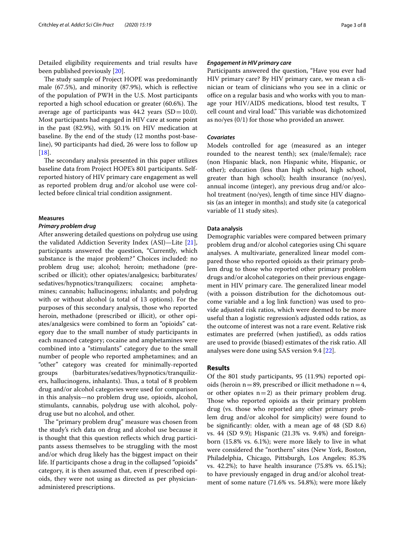Detailed eligibility requirements and trial results have been published previously [[20\]](#page-7-19).

The study sample of Project HOPE was predominantly male (67.5%), and minority (87.9%), which is refective of the population of PWH in the U.S. Most participants reported a high school education or greater (60.6%). The average age of participants was  $44.2$  years (SD=10.0). Most participants had engaged in HIV care at some point in the past (82.9%), with 50.1% on HIV medication at baseline. By the end of the study (12 months post-baseline), 90 participants had died, 26 were loss to follow up  $[18]$  $[18]$ .

The secondary analysis presented in this paper utilizes baseline data from Project HOPE's 801 participants. Selfreported history of HIV primary care engagement as well as reported problem drug and/or alcohol use were collected before clinical trial condition assignment.

# **Measures**

# *Primary problem drug*

After answering detailed questions on polydrug use using the validated Addiction Severity Index (ASI)—Lite [\[21](#page-7-20)], participants answered the question, "Currently, which substance is the major problem?*"* Choices included: no problem drug use; alcohol; heroin; methadone (prescribed or illicit); other opiates/analgesics; barbiturates/ sedatives/hypnotics/tranquilizers; cocaine; amphetamines; cannabis; hallucinogens; inhalants; and polydrug with or without alcohol (a total of 13 options). For the purposes of this secondary analysis, those who reported heroin, methadone (prescribed or illicit), or other opiates/analgesics were combined to form an "opioids" category due to the small number of study participants in each nuanced category; cocaine and amphetamines were combined into a "stimulants" category due to the small number of people who reported amphetamines; and an "other" category was created for minimally-reported groups (barbiturates/sedatives/hypnotics/tranquilizers, hallucinogens, inhalants). Thus, a total of 8 problem drug and/or alcohol categories were used for comparison in this analysis—no problem drug use, opioids, alcohol, stimulants, cannabis, polydrug use with alcohol, polydrug use but no alcohol, and other.

The "primary problem drug" measure was chosen from the study's rich data on drug and alcohol use because it is thought that this question refects which drug participants assess themselves to be struggling with the most and/or which drug likely has the biggest impact on their life. If participants chose a drug in the collapsed "opioids" category, it is then assumed that, even if prescribed opioids, they were not using as directed as per physicianadministered prescriptions.

# *Engagement in HIV primary care*

Participants answered the question, "Have you ever had HIV primary care? By HIV primary care, we mean a clinician or team of clinicians who you see in a clinic or office on a regular basis and who works with you to manage your HIV/AIDS medications, blood test results, T cell count and viral load." This variable was dichotomized as no/yes (0/1) for those who provided an answer.

# *Covariates*

Models controlled for age (measured as an integer rounded to the nearest tenth); sex (male/female); race (non Hispanic black, non Hispanic white, Hispanic, or other); education (less than high school, high school, greater than high school); health insurance (no/yes), annual income (integer), any previous drug and/or alcohol treatment (no/yes), length of time since HIV diagnosis (as an integer in months); and study site (a categorical variable of 11 study sites).

# **Data analysis**

Demographic variables were compared between primary problem drug and/or alcohol categories using Chi square analyses. A multivariate, generalized linear model compared those who reported opioids as their primary problem drug to those who reported other primary problem drugs and/or alcohol categories on their previous engagement in HIV primary care. The generalized linear model (with a poisson distribution for the dichotomous outcome variable and a log link function) was used to provide adjusted risk ratios, which were deemed to be more useful than a logistic regression's adjusted odds ratios, as the outcome of interest was not a rare event. Relative risk estimates are preferred (when justifed), as odds ratios are used to provide (biased) estimates of the risk ratio. All analyses were done using SAS version 9.4 [[22](#page-7-21)].

# **Results**

Of the 801 study participants, 95 (11.9%) reported opioids (heroin  $n=89$ , prescribed or illicit methadone  $n=4$ , or other opiates  $n=2$ ) as their primary problem drug. Those who reported opioids as their primary problem drug (vs. those who reported any other primary problem drug and/or alcohol for simplicity) were found to be signifcantly: older, with a mean age of 48 (SD 8.6) vs. 44 (SD 9.9); Hispanic (21.3% vs. 9.4%) and foreignborn (15.8% vs. 6.1%); were more likely to live in what were considered the "northern" sites (New York, Boston, Philadelphia, Chicago, Pittsburgh, Los Angeles; 85.3% vs. 42.2%); to have health insurance (75.8% vs. 65.1%); to have previously engaged in drug and/or alcohol treatment of some nature (71.6% vs. 54.8%); were more likely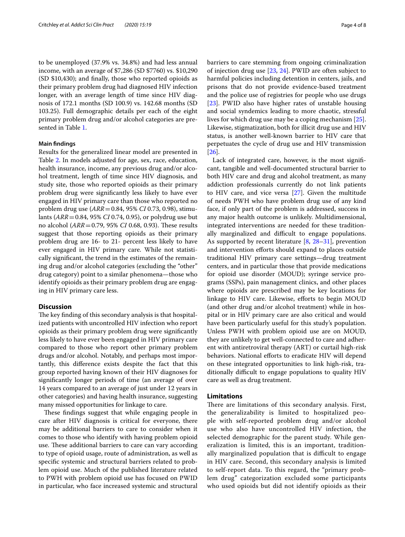to be unemployed (37.9% vs. 34.8%) and had less annual income, with an average of \$7,286 (SD \$7760) vs. \$10,290 (SD \$10,430); and fnally, those who reported opioids as their primary problem drug had diagnosed HIV infection longer, with an average length of time since HIV diagnosis of 172.1 months (SD 100.9) vs. 142.68 months (SD 103.25). Full demographic details per each of the eight primary problem drug and/or alcohol categories are presented in Table [1.](#page-4-0)

# **Main fndings**

Results for the generalized linear model are presented in Table [2.](#page-6-0) In models adjusted for age, sex, race, education, health insurance, income, any previous drug and/or alcohol treatment, length of time since HIV diagnosis, and study site, those who reported opioids as their primary problem drug were signifcantly less likely to have ever engaged in HIV primary care than those who reported no problem drug use (*ARR*=0.84, 95% *CI* 0.73, 0.98), stimulants (*ARR*=0.84, 95% *CI* 0.74, 0.95), or polydrug use but no alcohol (*ARR* = 0.79, 95% *CI* 0.68, 0.93). These results suggest that those reporting opioids as their primary problem drug are 16- to 21- percent less likely to have ever engaged in HIV primary care. While not statistically signifcant, the trend in the estimates of the remaining drug and/or alcohol categories (excluding the "other" drug category) point to a similar phenomena—those who identify opioids as their primary problem drug are engaging in HIV primary care less.

# **Discussion**

The key finding of this secondary analysis is that hospitalized patients with uncontrolled HIV infection who report opioids as their primary problem drug were signifcantly less likely to have ever been engaged in HIV primary care compared to those who report other primary problem drugs and/or alcohol. Notably, and perhaps most importantly, this diference exists despite the fact that this group reported having known of their HIV diagnoses for signifcantly longer periods of time (an average of over 14 years compared to an average of just under 12 years in other categories) and having health insurance, suggesting many missed opportunities for linkage to care.

These findings suggest that while engaging people in care after HIV diagnosis is critical for everyone, there may be additional barriers to care to consider when it comes to those who identify with having problem opioid use. These additional barriers to care can vary according to type of opioid usage, route of administration, as well as specifc systemic and structural barriers related to problem opioid use. Much of the published literature related to PWH with problem opioid use has focused on PWID in particular, who face increased systemic and structural barriers to care stemming from ongoing criminalization of injection drug use [\[23](#page-7-22), [24](#page-7-23)]. PWID are often subject to harmful policies including detention in centers, jails, and prisons that do not provide evidence-based treatment and the police use of registries for people who use drugs [[23\]](#page-7-22). PWID also have higher rates of unstable housing and social syndemics leading to more chaotic, stressful lives for which drug use may be a coping mechanism [\[25](#page-7-24)]. Likewise, stigmatization, both for illicit drug use and HIV status, is another well-known barrier to HIV care that perpetuates the cycle of drug use and HIV transmission [[26\]](#page-7-25).

Lack of integrated care, however, is the most signifcant, tangible and well-documented structural barrier to both HIV care and drug and alcohol treatment, as many addiction professionals currently do not link patients to HIV care, and vice versa [\[27](#page-7-26)]. Given the multitude of needs PWH who have problem drug use of any kind face, if only part of the problem is addressed, success in any major health outcome is unlikely. Multidimensional, integrated interventions are needed for these traditionally marginalized and difficult to engage populations. As supported by recent literature [[8](#page-7-7), [28–](#page-7-27)[31\]](#page-7-28), prevention and intervention efforts should expand to places outside traditional HIV primary care settings—drug treatment centers, and in particular those that provide medications for opioid use disorder (MOUD); syringe service programs (SSPs), pain management clinics, and other places where opioids are prescribed may be key locations for linkage to HIV care. Likewise, efforts to begin MOUD (and other drug and/or alcohol treatment) while in hospital or in HIV primary care are also critical and would have been particularly useful for this study's population. Unless PWH with problem opioid use are on MOUD, they are unlikely to get well-connected to care and adherent with antiretroviral therapy (ART) or curtail high-risk behaviors. National efforts to eradicate HIV will depend on these integrated opportunities to link high-risk, traditionally difficult to engage populations to quality HIV care as well as drug treatment.

# **Limitations**

There are limitations of this secondary analysis. First, the generalizability is limited to hospitalized people with self-reported problem drug and/or alcohol use who also have uncontrolled HIV infection, the selected demographic for the parent study. While generalization is limited, this is an important, traditionally marginalized population that is difficult to engage in HIV care. Second, this secondary analysis is limited to self-report data. To this regard, the "primary problem drug" categorization excluded some participants who used opioids but did not identify opioids as their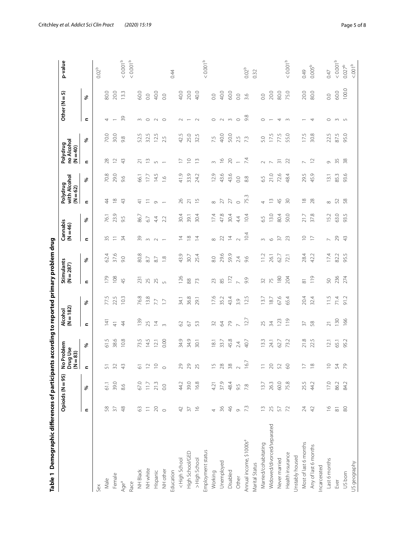<span id="page-4-0"></span>

|                                                                                                                                                                                                                                                                                                       |                     | Opioids (N = 95) | No Proble<br>Drug Use<br>(N = 83) | Problem | $(N = 182)$<br><b>Alcohol</b> |                | <b>Stimulants</b><br>$(N = 287)$ |                | Cannabis<br>$(N = 46)$    |      | with Alcohol<br>Polydrug<br>$(N = 62)$ |               | no Alcohol<br>Polydrug<br>$(N=40)$ |      | Other (N                 | ត<br>$\mathbf{I}$ | p-value                      |
|-------------------------------------------------------------------------------------------------------------------------------------------------------------------------------------------------------------------------------------------------------------------------------------------------------|---------------------|------------------|-----------------------------------|---------|-------------------------------|----------------|----------------------------------|----------------|---------------------------|------|----------------------------------------|---------------|------------------------------------|------|--------------------------|-------------------|------------------------------|
|                                                                                                                                                                                                                                                                                                       | $\blacksquare$      | %                | $\mathbf{C}$                      | %       | $\mathbf{C}$                  | ৡ              | c                                | ৡ              | c                         | ৡ    | $\mathbf{C}$                           | ৡ             | c                                  | %    | c                        | వి                |                              |
| Sex                                                                                                                                                                                                                                                                                                   |                     |                  |                                   |         |                               |                |                                  |                |                           |      |                                        |               |                                    |      |                          |                   | 0.02 <sup>b</sup>            |
| Male                                                                                                                                                                                                                                                                                                  | $58$                | 61.1             | 51                                | 61.5    | $\overline{4}$                | 77.5           | 179                              | 62.4           | 35                        | 76.1 | 4                                      | 70.8          | 28                                 | 70.0 | 4                        | 80.0              |                              |
| Female                                                                                                                                                                                                                                                                                                | $\frac{1}{2}$       | 39.0             | 32                                | 38.6    | $\frac{4}{3}$                 | 22.5           | 108                              | 37.6           | $\equiv$                  | 23.9 | $\frac{8}{1}$                          | 29.0          | $\approx$                          | 30.0 | $\overline{\phantom{m}}$ | 20.0              |                              |
| Age <sup>a</sup>                                                                                                                                                                                                                                                                                      | $\frac{8}{3}$       | 86               | 43                                | 10.8    | $\overline{4}$                | 10.3           | 45                               | 9.0            | 34                        | 9.5  | 43                                     | 9.6           | 43                                 | 9.8  | 39                       | 13.3              | $< 0.001^{\rm b}$            |
| Race                                                                                                                                                                                                                                                                                                  |                     |                  |                                   |         |                               |                |                                  |                |                           |      |                                        |               |                                    |      |                          |                   | $< 0.001^{\rm b}$            |
| NH Black                                                                                                                                                                                                                                                                                              | 3                   | 67.0             | 61                                | 73.5    | 139                           | 76.8           | 231                              | 80.8           | 39                        | 86.7 | ₹                                      | 66.1          | $\overline{\sim}$                  | 52.5 | 3                        | 60.0              |                              |
| NH white                                                                                                                                                                                                                                                                                              | $\equiv$            | $\frac{1}{2}$    | $\supseteq$                       | 14.5    | 25                            | 13.8           | 25                               | $\overline{8}$ | $\sim$                    | 67   | $\equiv$                               | 17.7          | $\frac{1}{2}$                      | 32.5 | $\circ$                  | 0.0               |                              |
| Hispanic                                                                                                                                                                                                                                                                                              | $\gtrsim$           | 21.3             | $\supseteq$                       | 12.1    | $\overline{4}$                | 77             | 25                               | 87             | $\sim$                    | 4.4  | $\circ$                                | 14.5          | $\mathsf{L}\cap$                   | 12.5 | $\sim$ 0                 | 40.0              |                              |
| NH other                                                                                                                                                                                                                                                                                              | $\circ$             | $\rm ^{0.0}$     | $\circ$                           | 0.00    | $\infty$                      | $\overline{1}$ | $\cup$                           | $\frac{8}{1}$  | $\overline{ }$            | 2.2  |                                        | $\frac{6}{1}$ | $\overline{a}$                     | 2.5  |                          | 0.0               |                              |
| Education                                                                                                                                                                                                                                                                                             |                     |                  |                                   |         |                               |                |                                  |                |                           |      |                                        |               |                                    |      |                          |                   | 0.44                         |
| <high school<="" td=""><td>42</td><td>44.2</td><td>29</td><td>34.9</td><td>62</td><td>34.1</td><td>126</td><td>43.9</td><td><math>\overline{4}</math></td><td>30.4</td><td>26</td><td>41.9</td><td><math>\overline{1}</math></td><td>42.5</td><td><math>\sim</math></td><td>40.0</td><td></td></high> | 42                  | 44.2             | 29                                | 34.9    | 62                            | 34.1           | 126                              | 43.9           | $\overline{4}$            | 30.4 | 26                                     | 41.9          | $\overline{1}$                     | 42.5 | $\sim$                   | 40.0              |                              |
| High School/GED                                                                                                                                                                                                                                                                                       | $\overline{37}$     | 39.0             | 29                                | 34.9    | 67                            | 36.8           | 88                               | 30.7           | $\frac{8}{1}$             | 39.1 | $\overline{2}$                         | O,<br>33.     | $\supseteq$                        | 25.0 |                          | 20.0              |                              |
| >High School                                                                                                                                                                                                                                                                                          | $\frac{6}{2}$       | 16.8             | 25                                | 30.1    | 53                            | 29.1           | 73                               | 25.4           | $\overline{4}$            | 30.4 | $\overline{5}$                         | 24.2          | $\tilde{E}$                        | 32.5 | $\sim$                   | 40.0              |                              |
| Employment status                                                                                                                                                                                                                                                                                     |                     |                  |                                   |         |                               |                |                                  |                |                           |      |                                        |               |                                    |      |                          |                   | $< 0.001$ $^{\rm b}$         |
| Working                                                                                                                                                                                                                                                                                               | 4                   | 4.21             | $\frac{5}{1}$                     | 18.1    | 32                            | 17.6           | 23                               | 8.0            | $\infty$                  | 17.4 | $\infty$                               | 12.9          | $\infty$                           | 7.5  | $\circ$                  | $_{\odot}$        |                              |
| Unemployed                                                                                                                                                                                                                                                                                            | $\frac{36}{5}$      | 37.9             | $28$                              | 33.7    | $\mathcal{Z}$                 | 35.2           | 85                               | 29.6           | 22                        | 47.8 | 27                                     | 43.6          | $\frac{8}{1}$                      | 40.0 | $\sim$ $\sim$            | 40.0              |                              |
| Disabled                                                                                                                                                                                                                                                                                              | $\frac{4}{6}$       | 48.4             | 38                                | 45.8    | 79                            | 43.4           | 172                              | 59.9           | $\overline{4}$            | 30.4 | 27                                     | 43.6          | $\geqslant$                        | 50.0 |                          | 60.0              |                              |
| Other                                                                                                                                                                                                                                                                                                 | $\circ$             | 9.5              | $\sim$                            | 2.4     |                               | 3.9            |                                  | 2.4            | $\sim$                    | 4.4  | $\circ$                                | $_{\odot}$    |                                    | 2.5  | $\circ$                  | 0.0               |                              |
| Annual income, \$1000sª                                                                                                                                                                                                                                                                               | 73                  | $7.8$            | $\sim$<br>$\overline{6}$          | 40.7    | 127                           | 12.5           | 9.9                              | 9.6            | 10.4                      | 10.4 | 75.3                                   | $8.8$         | 7.4                                | 73   | 9.8                      | 3.6               | 0.02 <sup>b</sup>            |
| Marital Status                                                                                                                                                                                                                                                                                        |                     |                  |                                   |         |                               |                |                                  |                |                           |      |                                        |               |                                    |      |                          |                   | 0.32                         |
| Married/cohabitating                                                                                                                                                                                                                                                                                  | $\widetilde{\Box}$  | 13.7             | $\equiv$                          | 13.3    | 25                            | 13.7           | 32                               | 11.2           | $\sim$                    | 6.5  | 4                                      | 6.5           | $\sim$                             | 5.0  | $\circ$                  | 0.0               |                              |
| Widowed/divorced/separated                                                                                                                                                                                                                                                                            | $25$                | 26.3             | $\geqslant$                       | 24.1    | $\approx$                     | 18.7           | 75                               | 26.1           | $\circ$                   | 13.0 | $\frac{1}{2}$                          | 21.0          | $\overline{\phantom{0}}$           | 17.5 | $\overline{\phantom{0}}$ | 20.0              |                              |
| Never married                                                                                                                                                                                                                                                                                         | $5\overline{)}$     | 60.0             | 52                                | 62.7    | 123                           | 67.6           | 180                              | 62.7           | $\widetilde{\mathcal{E}}$ | 80.4 | 45                                     | 72.6          | $\overline{5}$                     | 77.5 | 4                        | 80.0              |                              |
| Health insurance                                                                                                                                                                                                                                                                                      | 72                  | 75.8             | $\odot$                           | 73.2    | 119                           | 65.4           | 204                              | 72.1           | 23                        | 50.0 | 30                                     | 48.4          | 22                                 | 55.0 | $\infty$                 | 75.0              | 0.001 <sup>b</sup><br>$\vee$ |
| Jnstably housed                                                                                                                                                                                                                                                                                       |                     |                  |                                   |         |                               |                |                                  |                |                           |      |                                        |               |                                    |      |                          |                   |                              |
| Most of last 6 months                                                                                                                                                                                                                                                                                 | $\overline{24}$     | 25.5             | $\overline{1}$                    | 21.8    | $\overline{57}$               | 20.4           | $\overline{\infty}$              | 28.4           | $\supseteq$               | 21.7 | $\approx$                              | 29.5          | $\overline{\phantom{0}}$           | 17.5 |                          | 20.0              | 0.49                         |
| Any of last 6 months                                                                                                                                                                                                                                                                                  | $\varphi$           | 44.2             | $\approx$                         | 22.5    | 58                            | 32.4           | 119                              | 42.2           | $\overline{C}$            | 37.8 | 28                                     | 45.9          | $\approx$                          | 30.8 | $\overline{ }$           | 80.0              | 0.005 <sup>b</sup>           |
| ncarcerated                                                                                                                                                                                                                                                                                           |                     |                  |                                   |         |                               |                |                                  |                |                           |      |                                        |               |                                    |      |                          |                   |                              |
| Last 6 months                                                                                                                                                                                                                                                                                         | $\tilde{=}$         | 17.0             | $\supseteq$                       | 12.1    | $\overline{21}$               | 11.5           | 50                               | 17.4           | $\overline{\phantom{0}}$  | 15.2 | $\infty$                               | 13.1          | Ō                                  | 22.5 | $\circ$                  | 0.0               | 0.47                         |
| Ever                                                                                                                                                                                                                                                                                                  | $\overline{\infty}$ | 86.2             | 54                                | 65.1    | 130                           | 71.4           | 236                              | 82.2           | 29                        | 63.0 | 52                                     | 85.3          | 35                                 | 87.5 | m 5                      | 60.0              | $<0.001^{\rm b}$             |
| US born                                                                                                                                                                                                                                                                                               | $\otimes$           | 84.2             | 79                                | 95.2    | 166                           | 91.2           | 274                              | 95.5           | $\frac{1}{4}$             | 93.5 | 58                                     | 93.6          | 38                                 | 95.0 |                          | 100.0             | $0.027^{b}$                  |
| JS geography                                                                                                                                                                                                                                                                                          |                     |                  |                                   |         |                               |                |                                  |                |                           |      |                                        |               |                                    |      |                          |                   | 001 <sup>b</sup>             |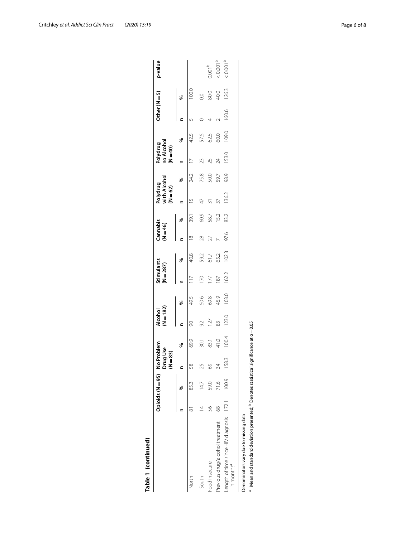|                                                                                                                  |    | Opioids (N=95)  | No Problem<br><b>Drug Use</b><br>$N=83$ |                        | $(N = 182)$<br>Alcohol |       | <b>Stimulants</b><br>$(N = 287)$ |       | Cannabis<br>$(N = 46)$ |      | with Alcohol<br>Polydrug<br>$(N = 62)$ |      | no Alcohol<br>Polydrug<br>$(N=40)$ |       | Other ( $N = 5$ ) |       | p-value            |
|------------------------------------------------------------------------------------------------------------------|----|-----------------|-----------------------------------------|------------------------|------------------------|-------|----------------------------------|-------|------------------------|------|----------------------------------------|------|------------------------------------|-------|-------------------|-------|--------------------|
|                                                                                                                  |    | ℅               |                                         | ℅                      | c                      | ℅     |                                  | శ     |                        | ४    |                                        | ℅    |                                    | ℅     |                   | ℅     |                    |
| North                                                                                                            | ∞  | 85.3            | 58                                      | 69.9                   | 90                     | 49.5  | $\frac{1}{2}$                    | 40.8  | $\frac{8}{1}$          | 39.1 | $\frac{5}{1}$                          | 24.2 | $\overline{1}$                     | 42.5  |                   | 100.0 |                    |
| South                                                                                                            |    | $\overline{47}$ | 25                                      | 30.1                   | $\overline{9}$         | 50.6  | 170                              | 59.2  | 28                     | 60.9 | $\overline{4}$                         | 75.8 | 23                                 | 57.5  |                   | 0.0   |                    |
| Food insecure                                                                                                    | 56 | 59.0            | 69                                      | 83.1                   | 127                    | 69.8  | 177                              | 61.7  |                        | 58.7 |                                        | 50.0 | 25                                 | 62.5  |                   | 80.0  | 0.001 <sup>b</sup> |
| Previous drug/alcohol treatment                                                                                  | 8  | 71.6            | 34                                      | 41.0                   | 83                     | 45.9  | 187                              | 65.2  |                        | 15.2 | 37                                     | 59.7 | 24                                 | 60.0  |                   | 40.0  | $0.001^{b}$        |
| Length of time since HIV diagnosis 172.1<br>in months <sup>a</sup>                                               |    | 100.9           | 58.3                                    | 100.4                  | 123.0                  | 103.0 | 162.2                            | 102.3 | 97.6                   | 83.2 | 136.2                                  | 98.9 | 153.0                              | 109.0 | 160.6             | 126.3 | 10001              |
| Mean and standard deviation presented; <sup>p</sup> Denotes statistical<br>Denominators vary due to missing data |    |                 |                                         | significance at a=0.05 |                        |       |                                  |       |                        |      |                                        |      |                                    |       |                   |       |                    |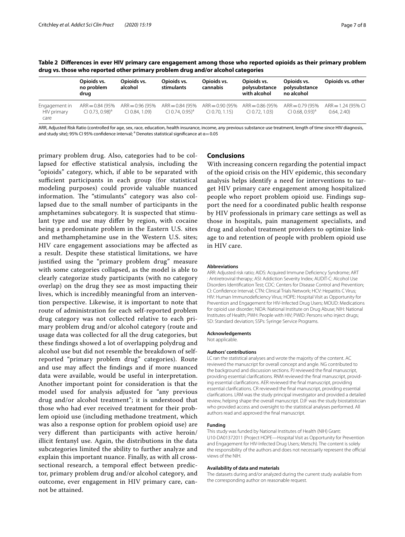|                                      | Opioids vs.<br>no problem<br>drug              | Opioids vs.<br>alcohol              | Opioids vs.<br>stimulants   | Opioids vs.<br>cannabis | Opioids vs.<br>polysubstance<br>with alcohol                                 | Opioids vs.<br>polysubstance<br>no alcohol        | Opioids vs. other                  |
|--------------------------------------|------------------------------------------------|-------------------------------------|-----------------------------|-------------------------|------------------------------------------------------------------------------|---------------------------------------------------|------------------------------------|
| Engagement in<br>HIV primary<br>care | $ARR = 0.84 (95\%$<br>CI 0.73, 0.98 $^{\circ}$ | ARR = 0.96 (95%<br>$Cl$ 0.84, 1.09) | CI 0.74, 0.95) <sup>a</sup> | (10.70, 1.15)           | $ARR = 0.84 (95\%$ $ARR = 0.90 (95\%$ $ARR = 0.86 (95\%$<br>$Cl$ 0.72, 1.03) | $ARR = 0.79(95\%)$<br>CI 0.68, 0.93) <sup>a</sup> | $ARR = 1.24$ (95% CI<br>0.64, 2.40 |

<span id="page-6-0"></span>**Table 2 Diferences in ever HIV primary care engagement among those who reported opioids as their primary problem drug vs. those who reported other primary problem drug and/or alcohol categories**

ARR, Adjusted Risk Ratio (controlled for age, sex, race, education, health insurance, income, any previous substance use treatment, length of time since HIV diagnosis, and study site); 95% CI 95% confidence interval; <sup>a</sup> Denotes statistical significance at  $\mathfrak{a}{=}\,0.05$ 

primary problem drug. Also, categories had to be collapsed for efective statistical analysis, including the "opioids" category, which, if able to be separated with sufficient participants in each group (for statistical modeling purposes) could provide valuable nuanced information. The "stimulants" category was also collapsed due to the small number of participants in the amphetamines subcategory. It is suspected that stimulant type and use may difer by region, with cocaine being a predominate problem in the Eastern U.S. sites and methamphetamine use in the Western U.S. sites; HIV care engagement associations may be afected as a result. Despite these statistical limitations, we have justifed using the "primary problem drug" measure with some categories collapsed, as the model is able to clearly categorize study participants (with no category overlap) on the drug they see as most impacting their lives, which is incredibly meaningful from an intervention perspective. Likewise, it is important to note that route of administration for each self-reported problem drug category was not collected relative to each primary problem drug and/or alcohol category (route and usage data was collected for all the drug categories, but these fndings showed a lot of overlapping polydrug and alcohol use but did not resemble the breakdown of selfreported "primary problem drug" categories). Route and use may afect the fndings and if more nuanced data were available, would be useful in interpretation. Another important point for consideration is that the model used for analysis adjusted for "any previous drug and/or alcohol treatment"; it is understood that those who had ever received treatment for their problem opioid use (including methadone treatment, which was also a response option for problem opioid use) are very diferent than participants with active heroin/ illicit fentanyl use. Again, the distributions in the data subcategories limited the ability to further analyze and explain this important nuance. Finally, as with all crosssectional research, a temporal efect between predictor, primary problem drug and/or alcohol category, and outcome, ever engagement in HIV primary care, cannot be attained.

# **Conclusions**

With increasing concern regarding the potential impact of the opioid crisis on the HIV epidemic, this secondary analysis helps identify a need for interventions to target HIV primary care engagement among hospitalized people who report problem opioid use. Findings support the need for a coordinated public health response by HIV professionals in primary care settings as well as those in hospitals, pain management specialists, and drug and alcohol treatment providers to optimize linkage to and retention of people with problem opioid use in HIV care.

#### **Abbreviations**

ARR: Adjusted risk ratio; AIDS: Acquired Immune Defciency Syndrome; ART : Antiretroviral therapy; ASI: Addiction Severity Index; AUDIT-C: Alcohol Use Disorders Identifcation Test; CDC: Centers for Disease Control and Prevention; CI: Confdence Interval; CTN: Clinical Trials Network; HCV: Hepatitis C Virus; HIV: Human Immunodefciency Virus; HOPE: Hospital Visit as Opportunity for Prevention and Engagement for HIV-Infected Drug Users; MOUD: Medications for opioid use disorder; NIDA: National Institute on Drug Abuse; NIH: National Institutes of Health; PWH: People with HIV; PWID: Persons who inject drugs; SD: Standard deviation; SSPs: Syringe Service Programs.

#### **Acknowledgements**

Not applicable.

## **Authors' contributions**

LC ran the statistical analyses and wrote the majority of the content. AC reviewed the manuscript for overall concept and angle. NG contributed to the background and discussion sections. PJ reviewed the fnal manuscript, providing essential clarifcations. RNM reviewed the fnal manuscript, providing essential clarifcations. AER reviewed the fnal manuscript, providing essential clarifcations. CR reviewed the fnal manuscript, providing essential clarifcations. LRM was the study principal investigator and provided a detailed review, helping shape the overall manuscript. DJF was the study biostatistician who provided access and oversight to the statistical analyses performed. All authors read and approved the fnal manuscript.

# **Funding**

This study was funded by National Institutes of Health (NIH) Grant: U10-DA01372011 (Project HOPE—Hospital Visit as Opportunity for Prevention and Engagement for HIV-Infected Drug Users; Metsch). The content is solely the responsibility of the authors and does not necessarily represent the official views of the NIH.

#### **Availability of data and materials**

The datasets during and/or analyzed during the current study available from the corresponding author on reasonable request.